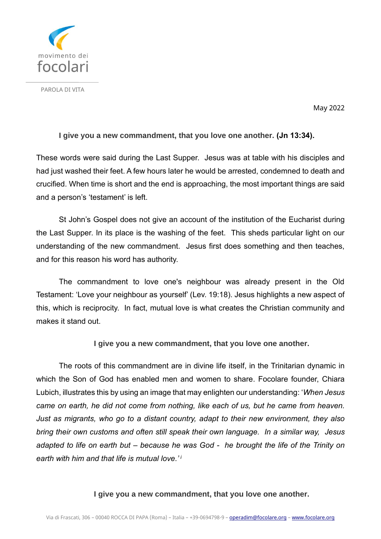

PAROLA DI VITA

May 2022

## **I give you a new commandment, that you love one another. (Jn 13:34).**

These words were said during the Last Supper. Jesus was at table with his disciples and had just washed their feet. A few hours later he would be arrested, condemned to death and crucified. When time is short and the end is approaching, the most important things are said and a person's 'testament' is left.

St John's Gospel does not give an account of the institution of the Eucharist during the Last Supper. In its place is the washing of the feet. This sheds particular light on our understanding of the new commandment. Jesus first does something and then teaches, and for this reason his word has authority.

The commandment to love one's neighbour was already present in the Old Testament: 'Love your neighbour as yourself' (Lev. 19:18). Jesus highlights a new aspect of this, which is reciprocity. In fact, mutual love is what creates the Christian community and makes it stand out.

# **I give you a new commandment, that you love one another.**

The roots of this commandment are in divine life itself, in the Trinitarian dynamic in which the Son of God has enabled men and women to share. Focolare founder, Chiara Lubich, illustrates this by using an image that may enlighten our understanding: '*When Jesus came on earth, he did not come from nothing, like each of us, but he came from heaven. Just as migrants, who go to a distant country, adapt to their new environment, they also bring their own customs and often still speak their own language. In a similar way, Jesus adapted to life on earth but – because he was God - he brought the life of the Trinity on earth with him and that life is mutual love.' i*

## **I give you a new commandment, that you love one another.**